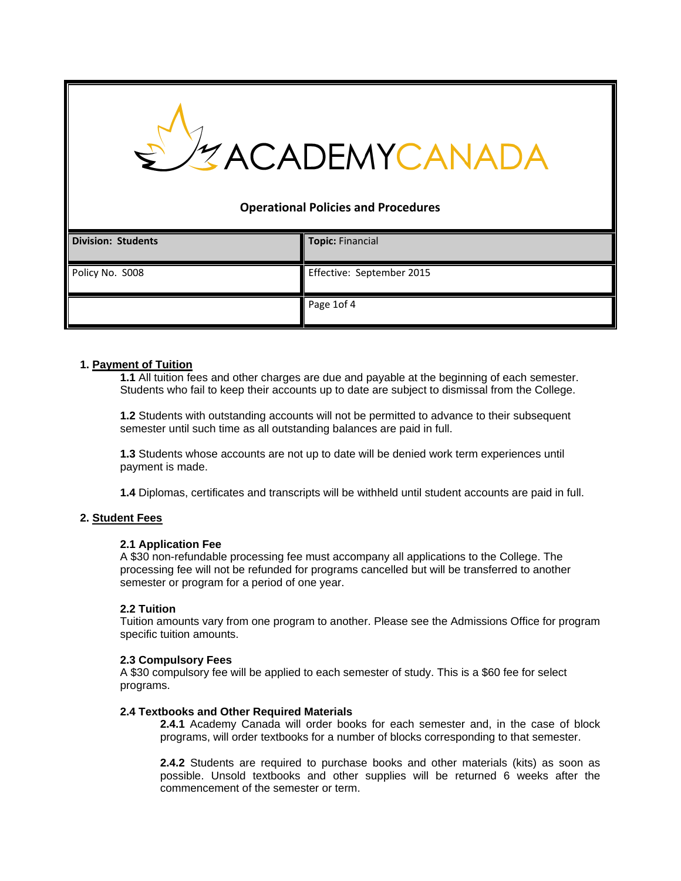# ZACADEMYCANAI

# **Operational Policies and Procedures**

| <b>Division: Students</b> | <b>Topic: Financial</b>   |
|---------------------------|---------------------------|
| Policy No. S008           | Effective: September 2015 |
|                           | Page 1of 4                |

# **1. Payment of Tuition**

**1.1** All tuition fees and other charges are due and payable at the beginning of each semester. Students who fail to keep their accounts up to date are subject to dismissal from the College.

**1.2** Students with outstanding accounts will not be permitted to advance to their subsequent semester until such time as all outstanding balances are paid in full.

**1.3** Students whose accounts are not up to date will be denied work term experiences until payment is made.

**1.4** Diplomas, certificates and transcripts will be withheld until student accounts are paid in full.

# **2. Student Fees**

# **2.1 Application Fee**

A \$30 non-refundable processing fee must accompany all applications to the College. The processing fee will not be refunded for programs cancelled but will be transferred to another semester or program for a period of one year.

# **2.2 Tuition**

Tuition amounts vary from one program to another. Please see the Admissions Office for program specific tuition amounts.

#### **2.3 Compulsory Fees**

A \$30 compulsory fee will be applied to each semester of study. This is a \$60 fee for select programs.

#### **2.4 Textbooks and Other Required Materials**

**2.4.1** Academy Canada will order books for each semester and, in the case of block programs, will order textbooks for a number of blocks corresponding to that semester.

**2.4.2** Students are required to purchase books and other materials (kits) as soon as possible. Unsold textbooks and other supplies will be returned 6 weeks after the commencement of the semester or term.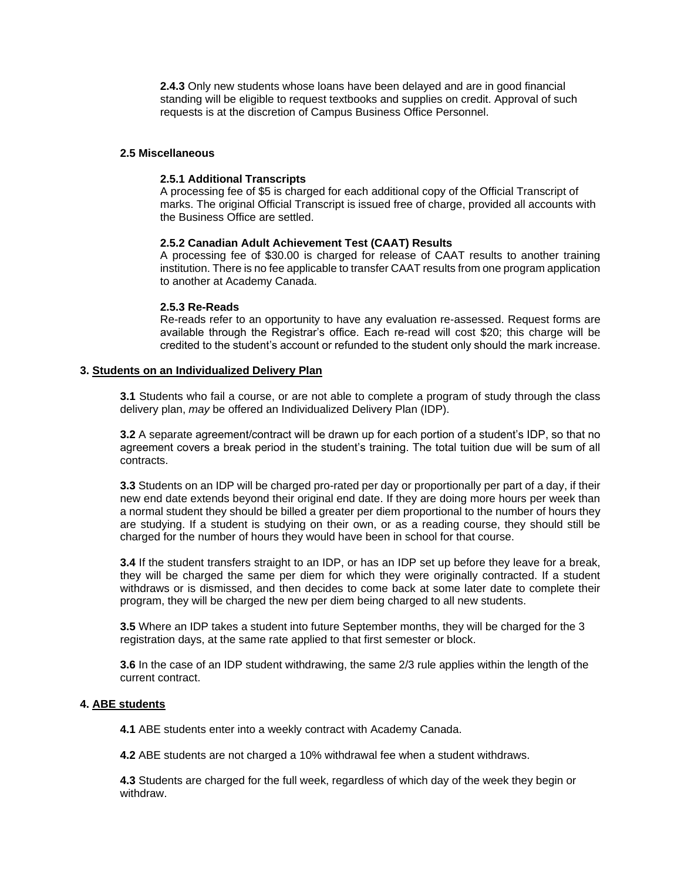**2.4.3** Only new students whose loans have been delayed and are in good financial standing will be eligible to request textbooks and supplies on credit. Approval of such requests is at the discretion of Campus Business Office Personnel.

### **2.5 Miscellaneous**

#### **2.5.1 Additional Transcripts**

A processing fee of \$5 is charged for each additional copy of the Official Transcript of marks. The original Official Transcript is issued free of charge, provided all accounts with the Business Office are settled.

#### **2.5.2 Canadian Adult Achievement Test (CAAT) Results**

A processing fee of \$30.00 is charged for release of CAAT results to another training institution. There is no fee applicable to transfer CAAT results from one program application to another at Academy Canada.

#### **2.5.3 Re-Reads**

Re-reads refer to an opportunity to have any evaluation re-assessed. Request forms are available through the Registrar's office. Each re-read will cost \$20; this charge will be credited to the student's account or refunded to the student only should the mark increase.

#### **3. Students on an Individualized Delivery Plan**

**3.1** Students who fail a course, or are not able to complete a program of study through the class delivery plan, *may* be offered an Individualized Delivery Plan (IDP).

**3.2** A separate agreement/contract will be drawn up for each portion of a student's IDP, so that no agreement covers a break period in the student's training. The total tuition due will be sum of all contracts.

**3.3** Students on an IDP will be charged pro-rated per day or proportionally per part of a day, if their new end date extends beyond their original end date. If they are doing more hours per week than a normal student they should be billed a greater per diem proportional to the number of hours they are studying. If a student is studying on their own, or as a reading course, they should still be charged for the number of hours they would have been in school for that course.

**3.4** If the student transfers straight to an IDP, or has an IDP set up before they leave for a break, they will be charged the same per diem for which they were originally contracted. If a student withdraws or is dismissed, and then decides to come back at some later date to complete their program, they will be charged the new per diem being charged to all new students.

**3.5** Where an IDP takes a student into future September months, they will be charged for the 3 registration days, at the same rate applied to that first semester or block.

**3.6** In the case of an IDP student withdrawing, the same 2/3 rule applies within the length of the current contract.

#### **4. ABE students**

**4.1** ABE students enter into a weekly contract with Academy Canada.

**4.2** ABE students are not charged a 10% withdrawal fee when a student withdraws.

**4.3** Students are charged for the full week, regardless of which day of the week they begin or withdraw.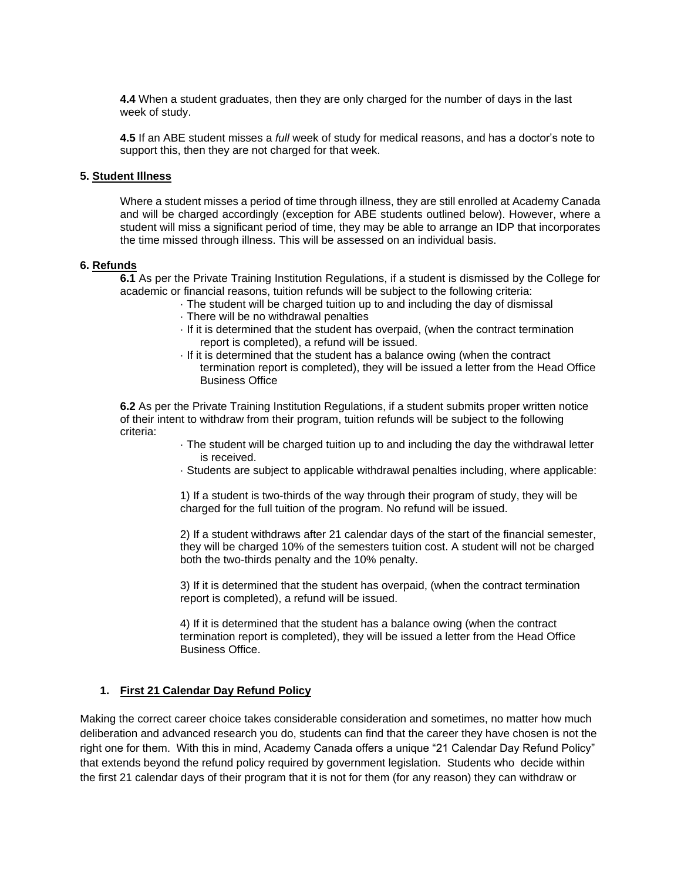**4.4** When a student graduates, then they are only charged for the number of days in the last week of study.

**4.5** If an ABE student misses a *full* week of study for medical reasons, and has a doctor's note to support this, then they are not charged for that week.

#### **5. Student Illness**

Where a student misses a period of time through illness, they are still enrolled at Academy Canada and will be charged accordingly (exception for ABE students outlined below). However, where a student will miss a significant period of time, they may be able to arrange an IDP that incorporates the time missed through illness. This will be assessed on an individual basis.

#### **6. Refunds**

**6.1** As per the Private Training Institution Regulations, if a student is dismissed by the College for academic or financial reasons, tuition refunds will be subject to the following criteria:

- · The student will be charged tuition up to and including the day of dismissal
- · There will be no withdrawal penalties
- · If it is determined that the student has overpaid, (when the contract termination report is completed), a refund will be issued.
- · If it is determined that the student has a balance owing (when the contract termination report is completed), they will be issued a letter from the Head Office Business Office

**6.2** As per the Private Training Institution Regulations, if a student submits proper written notice of their intent to withdraw from their program, tuition refunds will be subject to the following criteria:

- · The student will be charged tuition up to and including the day the withdrawal letter is received.
- · Students are subject to applicable withdrawal penalties including, where applicable:

1) If a student is two-thirds of the way through their program of study, they will be charged for the full tuition of the program. No refund will be issued.

2) If a student withdraws after 21 calendar days of the start of the financial semester, they will be charged 10% of the semesters tuition cost. A student will not be charged both the two-thirds penalty and the 10% penalty.

3) If it is determined that the student has overpaid, (when the contract termination report is completed), a refund will be issued.

4) If it is determined that the student has a balance owing (when the contract termination report is completed), they will be issued a letter from the Head Office Business Office.

# **1. First 21 Calendar Day Refund Policy**

Making the correct career choice takes considerable consideration and sometimes, no matter how much deliberation and advanced research you do, students can find that the career they have chosen is not the right one for them. With this in mind, Academy Canada offers a unique "21 Calendar Day Refund Policy" that extends beyond the refund policy required by government legislation. Students who decide within the first 21 calendar days of their program that it is not for them (for any reason) they can withdraw or